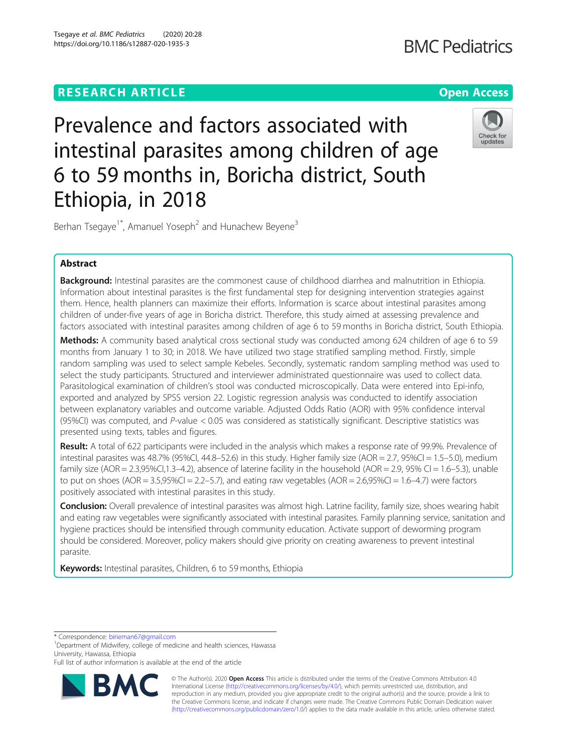# **RESEARCH ARTICLE Example 2014 12:30 The Open Access**



Prevalence and factors associated with intestinal parasites among children of age 6 to 59 months in, Boricha district, South Ethiopia, in 2018

Berhan Tsegaye<sup>1\*</sup>, Amanuel Yoseph<sup>2</sup> and Hunachew Beyene<sup>3</sup>

# Abstract

**Background:** Intestinal parasites are the commonest cause of childhood diarrhea and malnutrition in Ethiopia. Information about intestinal parasites is the first fundamental step for designing intervention strategies against them. Hence, health planners can maximize their efforts. Information is scarce about intestinal parasites among children of under-five years of age in Boricha district. Therefore, this study aimed at assessing prevalence and factors associated with intestinal parasites among children of age 6 to 59 months in Boricha district, South Ethiopia.

Methods: A community based analytical cross sectional study was conducted among 624 children of age 6 to 59 months from January 1 to 30; in 2018. We have utilized two stage stratified sampling method. Firstly, simple random sampling was used to select sample Kebeles. Secondly, systematic random sampling method was used to select the study participants. Structured and interviewer administrated questionnaire was used to collect data. Parasitological examination of children's stool was conducted microscopically. Data were entered into Epi-info, exported and analyzed by SPSS version 22. Logistic regression analysis was conducted to identify association between explanatory variables and outcome variable. Adjusted Odds Ratio (AOR) with 95% confidence interval (95%CI) was computed, and P-value < 0.05 was considered as statistically significant. Descriptive statistics was presented using texts, tables and figures.

Result: A total of 622 participants were included in the analysis which makes a response rate of 99.9%. Prevalence of intestinal parasites was 48.7% (95%Cl, 44.8–52.6) in this study. Higher family size (AOR = 2.7, 95%Cl = 1.5–5.0), medium family size (AOR = 2.3,95%CI,1.3–4.2), absence of laterine facility in the household (AOR = 2.9, 95% CI = 1.6–5.3), unable to put on shoes (AOR = 3.5,95%CI = 2.2–5.7), and eating raw vegetables (AOR = 2.6,95%CI = 1.6–4.7) were factors positively associated with intestinal parasites in this study.

**Conclusion:** Overall prevalence of intestinal parasites was almost high. Latrine facility, family size, shoes wearing habit and eating raw vegetables were significantly associated with intestinal parasites. Family planning service, sanitation and hygiene practices should be intensified through community education. Activate support of deworming program should be considered. Moreover, policy makers should give priority on creating awareness to prevent intestinal parasite.

Keywords: Intestinal parasites, Children, 6 to 59 months, Ethiopia

\* Correspondence: [birieman67@gmail.com](mailto:birieman67@gmail.com) <sup>1</sup>

<sup>1</sup>Department of Midwifery, college of medicine and health sciences, Hawassa University, Hawassa, Ethiopia

Full list of author information is available at the end of the article



© The Author(s). 2020 **Open Access** This article is distributed under the terms of the Creative Commons Attribution 4.0 International License [\(http://creativecommons.org/licenses/by/4.0/](http://creativecommons.org/licenses/by/4.0/)), which permits unrestricted use, distribution, and reproduction in any medium, provided you give appropriate credit to the original author(s) and the source, provide a link to the Creative Commons license, and indicate if changes were made. The Creative Commons Public Domain Dedication waiver [\(http://creativecommons.org/publicdomain/zero/1.0/](http://creativecommons.org/publicdomain/zero/1.0/)) applies to the data made available in this article, unless otherwise stated.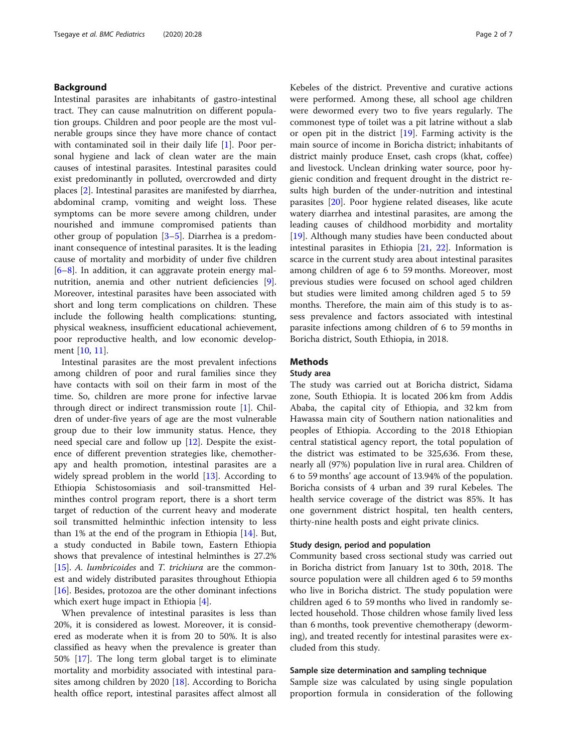# Background

Intestinal parasites are inhabitants of gastro-intestinal tract. They can cause malnutrition on different population groups. Children and poor people are the most vulnerable groups since they have more chance of contact with contaminated soil in their daily life [[1\]](#page-6-0). Poor personal hygiene and lack of clean water are the main causes of intestinal parasites. Intestinal parasites could exist predominantly in polluted, overcrowded and dirty places [\[2](#page-6-0)]. Intestinal parasites are manifested by diarrhea, abdominal cramp, vomiting and weight loss. These symptoms can be more severe among children, under nourished and immune compromised patients than other group of population [[3](#page-6-0)–[5](#page-6-0)]. Diarrhea is a predominant consequence of intestinal parasites. It is the leading cause of mortality and morbidity of under five children [[6](#page-6-0)–[8\]](#page-6-0). In addition, it can aggravate protein energy malnutrition, anemia and other nutrient deficiencies [\[9](#page-6-0)]. Moreover, intestinal parasites have been associated with short and long term complications on children. These include the following health complications: stunting, physical weakness, insufficient educational achievement, poor reproductive health, and low economic development [[10,](#page-6-0) [11\]](#page-6-0).

Intestinal parasites are the most prevalent infections among children of poor and rural families since they have contacts with soil on their farm in most of the time. So, children are more prone for infective larvae through direct or indirect transmission route [\[1](#page-6-0)]. Children of under-five years of age are the most vulnerable group due to their low immunity status. Hence, they need special care and follow up [[12\]](#page-6-0). Despite the existence of different prevention strategies like, chemotherapy and health promotion, intestinal parasites are a widely spread problem in the world [\[13](#page-6-0)]. According to Ethiopia Schistosomiasis and soil-transmitted Helminthes control program report, there is a short term target of reduction of the current heavy and moderate soil transmitted helminthic infection intensity to less than 1% at the end of the program in Ethiopia  $[14]$  $[14]$  $[14]$ . But, a study conducted in Babile town, Eastern Ethiopia shows that prevalence of intestinal helminthes is 27.2% [[15\]](#page-6-0). A. *lumbricoides* and *T. trichiura* are the commonest and widely distributed parasites throughout Ethiopia [[16\]](#page-6-0). Besides, protozoa are the other dominant infections which exert huge impact in Ethiopia [[4\]](#page-6-0).

When prevalence of intestinal parasites is less than 20%, it is considered as lowest. Moreover, it is considered as moderate when it is from 20 to 50%. It is also classified as heavy when the prevalence is greater than 50% [[17](#page-6-0)]. The long term global target is to eliminate mortality and morbidity associated with intestinal parasites among children by 2020 [[18\]](#page-6-0). According to Boricha health office report, intestinal parasites affect almost all

Kebeles of the district. Preventive and curative actions were performed. Among these, all school age children were dewormed every two to five years regularly. The commonest type of toilet was a pit latrine without a slab or open pit in the district [\[19](#page-6-0)]. Farming activity is the main source of income in Boricha district; inhabitants of district mainly produce Enset, cash crops (khat, coffee) and livestock. Unclean drinking water source, poor hygienic condition and frequent drought in the district results high burden of the under-nutrition and intestinal parasites [[20\]](#page-6-0). Poor hygiene related diseases, like acute watery diarrhea and intestinal parasites, are among the leading causes of childhood morbidity and mortality [[19\]](#page-6-0). Although many studies have been conducted about intestinal parasites in Ethiopia [[21](#page-6-0), [22](#page-6-0)]. Information is scarce in the current study area about intestinal parasites among children of age 6 to 59 months. Moreover, most previous studies were focused on school aged children but studies were limited among children aged 5 to 59 months. Therefore, the main aim of this study is to assess prevalence and factors associated with intestinal parasite infections among children of 6 to 59 months in Boricha district, South Ethiopia, in 2018.

# Methods

#### Study area

The study was carried out at Boricha district, Sidama zone, South Ethiopia. It is located 206 km from Addis Ababa, the capital city of Ethiopia, and 32 km from Hawassa main city of Southern nation nationalities and peoples of Ethiopia. According to the 2018 Ethiopian central statistical agency report, the total population of the district was estimated to be 325,636. From these, nearly all (97%) population live in rural area. Children of 6 to 59 months' age account of 13.94% of the population. Boricha consists of 4 urban and 39 rural Kebeles. The health service coverage of the district was 85%. It has one government district hospital, ten health centers, thirty-nine health posts and eight private clinics.

#### Study design, period and population

Community based cross sectional study was carried out in Boricha district from January 1st to 30th, 2018. The source population were all children aged 6 to 59 months who live in Boricha district. The study population were children aged 6 to 59 months who lived in randomly selected household. Those children whose family lived less than 6 months, took preventive chemotherapy (deworming), and treated recently for intestinal parasites were excluded from this study.

#### Sample size determination and sampling technique

Sample size was calculated by using single population proportion formula in consideration of the following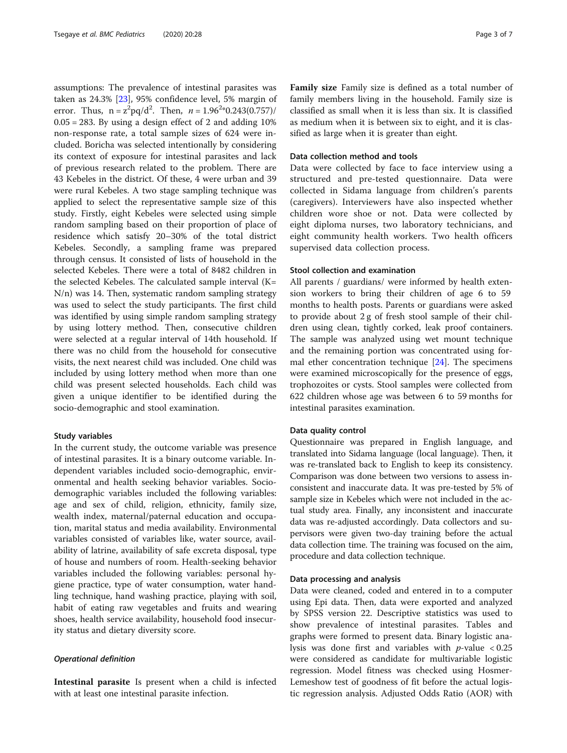assumptions: The prevalence of intestinal parasites was taken as 24.3% [\[23](#page-6-0)], 95% confidence level, 5% margin of error. Thus,  $n = z^2 pq/d^2$ . Then,  $n = 1.96^{2*}0.243(0.757)/$  $0.05 = 283$ . By using a design effect of 2 and adding  $10\%$ non-response rate, a total sample sizes of 624 were included. Boricha was selected intentionally by considering its context of exposure for intestinal parasites and lack of previous research related to the problem. There are 43 Kebeles in the district. Of these, 4 were urban and 39 were rural Kebeles. A two stage sampling technique was applied to select the representative sample size of this study. Firstly, eight Kebeles were selected using simple random sampling based on their proportion of place of residence which satisfy 20–30% of the total district Kebeles. Secondly, a sampling frame was prepared through census. It consisted of lists of household in the selected Kebeles. There were a total of 8482 children in the selected Kebeles. The calculated sample interval (K= N/n) was 14. Then, systematic random sampling strategy was used to select the study participants. The first child was identified by using simple random sampling strategy by using lottery method. Then, consecutive children were selected at a regular interval of 14th household. If there was no child from the household for consecutive visits, the next nearest child was included. One child was included by using lottery method when more than one child was present selected households. Each child was given a unique identifier to be identified during the socio-demographic and stool examination.

#### Study variables

In the current study, the outcome variable was presence of intestinal parasites. It is a binary outcome variable. Independent variables included socio-demographic, environmental and health seeking behavior variables. Sociodemographic variables included the following variables: age and sex of child, religion, ethnicity, family size, wealth index, maternal/paternal education and occupation, marital status and media availability. Environmental variables consisted of variables like, water source, availability of latrine, availability of safe excreta disposal, type of house and numbers of room. Health-seeking behavior variables included the following variables: personal hygiene practice, type of water consumption, water handling technique, hand washing practice, playing with soil, habit of eating raw vegetables and fruits and wearing shoes, health service availability, household food insecurity status and dietary diversity score.

## Operational definition

Intestinal parasite Is present when a child is infected with at least one intestinal parasite infection.

Family size Family size is defined as a total number of family members living in the household. Family size is classified as small when it is less than six. It is classified as medium when it is between six to eight, and it is classified as large when it is greater than eight.

# Data collection method and tools

Data were collected by face to face interview using a structured and pre-tested questionnaire. Data were collected in Sidama language from children's parents (caregivers). Interviewers have also inspected whether children wore shoe or not. Data were collected by eight diploma nurses, two laboratory technicians, and eight community health workers. Two health officers supervised data collection process.

#### Stool collection and examination

All parents / guardians/ were informed by health extension workers to bring their children of age 6 to 59 months to health posts. Parents or guardians were asked to provide about 2 g of fresh stool sample of their children using clean, tightly corked, leak proof containers. The sample was analyzed using wet mount technique and the remaining portion was concentrated using formal ether concentration technique  $[24]$  $[24]$ . The specimens were examined microscopically for the presence of eggs, trophozoites or cysts. Stool samples were collected from 622 children whose age was between 6 to 59 months for intestinal parasites examination.

## Data quality control

Questionnaire was prepared in English language, and translated into Sidama language (local language). Then, it was re-translated back to English to keep its consistency. Comparison was done between two versions to assess inconsistent and inaccurate data. It was pre-tested by 5% of sample size in Kebeles which were not included in the actual study area. Finally, any inconsistent and inaccurate data was re-adjusted accordingly. Data collectors and supervisors were given two-day training before the actual data collection time. The training was focused on the aim, procedure and data collection technique.

#### Data processing and analysis

Data were cleaned, coded and entered in to a computer using Epi data. Then, data were exported and analyzed by SPSS version 22. Descriptive statistics was used to show prevalence of intestinal parasites. Tables and graphs were formed to present data. Binary logistic analysis was done first and variables with  $p$ -value < 0.25 were considered as candidate for multivariable logistic regression. Model fitness was checked using Hosmer-Lemeshow test of goodness of fit before the actual logistic regression analysis. Adjusted Odds Ratio (AOR) with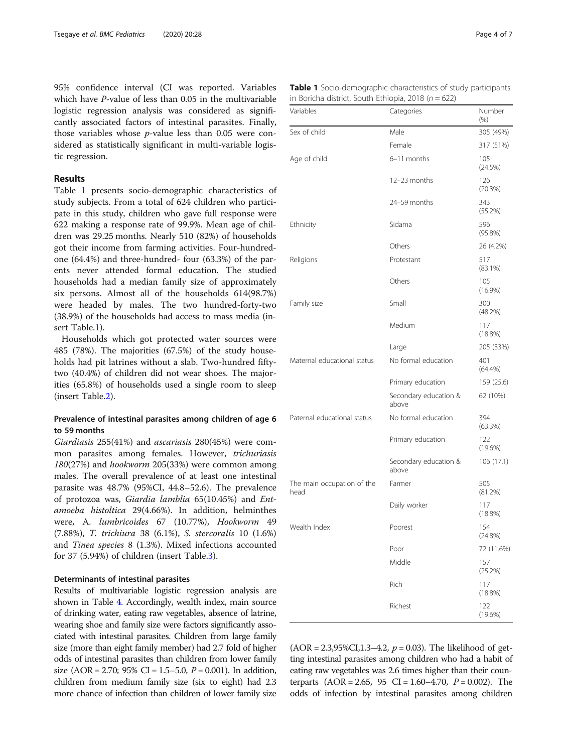95% confidence interval (CI was reported. Variables which have P-value of less than 0.05 in the multivariable logistic regression analysis was considered as significantly associated factors of intestinal parasites. Finally, those variables whose  $p$ -value less than 0.05 were considered as statistically significant in multi-variable logistic regression.

# Results

Table 1 presents socio-demographic characteristics of study subjects. From a total of 624 children who participate in this study, children who gave full response were 622 making a response rate of 99.9%. Mean age of children was 29.25 months. Nearly 510 (82%) of households got their income from farming activities. Four-hundredone (64.4%) and three-hundred- four (63.3%) of the parents never attended formal education. The studied households had a median family size of approximately six persons. Almost all of the households 614(98.7%) were headed by males. The two hundred-forty-two (38.9%) of the households had access to mass media (insert Table.1).

Households which got protected water sources were 485 (78%). The majorities (67.5%) of the study households had pit latrines without a slab. Two-hundred fiftytwo (40.4%) of children did not wear shoes. The majorities (65.8%) of households used a single room to sleep (insert Table.[2\)](#page-4-0).

# Prevalence of intestinal parasites among children of age 6 to 59 months

Giardiasis 255(41%) and ascariasis 280(45%) were common parasites among females. However, trichuriasis 180(27%) and hookworm 205(33%) were common among males. The overall prevalence of at least one intestinal parasite was 48.7% (95%CI, 44.8–52.6). The prevalence of protozoa was, Giardia lamblia 65(10.45%) and Entamoeba histoltica 29(4.66%). In addition, helminthes were, A. lumbricoides 67 (10.77%), Hookworm 49 (7.88%), T. trichiura 38 (6.1%), S. stercoralis 10 (1.6%) and Tinea species 8 (1.3%). Mixed infections accounted for 37 (5.94%) of children (insert Table.[3\)](#page-4-0).

#### Determinants of intestinal parasites

Results of multivariable logistic regression analysis are shown in Table [4](#page-5-0). Accordingly, wealth index, main source of drinking water, eating raw vegetables, absence of latrine, wearing shoe and family size were factors significantly associated with intestinal parasites. Children from large family size (more than eight family member) had 2.7 fold of higher odds of intestinal parasites than children from lower family size (AOR = 2.70; 95% CI = 1.5–5.0,  $P = 0.001$ ). In addition, children from medium family size (six to eight) had 2.3 more chance of infection than children of lower family size

|  |  |                                                         | <b>Table 1</b> Socio-demographic characteristics of study participants |
|--|--|---------------------------------------------------------|------------------------------------------------------------------------|
|  |  | in Boricha district, South Ethiopia, 2018 ( $n = 622$ ) |                                                                        |

| Variables                          | Categories                     | Number<br>(% )    |
|------------------------------------|--------------------------------|-------------------|
| Sex of child                       | Male                           | 305 (49%)         |
|                                    | Female                         | 317 (51%)         |
| Age of child                       | 6-11 months                    | 105<br>(24.5%)    |
|                                    | 12-23 months                   | 126<br>(20.3%)    |
|                                    | 24-59 months                   | 343<br>(55.2%)    |
| Ethnicity                          | Sidama                         | 596<br>$(95.8\%)$ |
|                                    | Others                         | 26 (4.2%)         |
| Religions                          | Protestant                     | 517<br>$(83.1\%)$ |
|                                    | Others                         | 105<br>$(16.9\%)$ |
| Family size                        | Small                          | 300<br>(48.2%)    |
|                                    | Medium                         | 117<br>(18.8%)    |
|                                    | Large                          | 205 (33%)         |
| Maternal educational status        | No formal education            | 401<br>$(64.4\%)$ |
|                                    | Primary education              | 159 (25.6)        |
|                                    | Secondary education &<br>above | 62 (10%)          |
| Paternal educational status        | No formal education            | 394<br>(63.3%)    |
|                                    | Primary education              | 122<br>$(19.6\%)$ |
|                                    | Secondary education &<br>above | 106 (17.1)        |
| The main occupation of the<br>head | Farmer                         | 505<br>(81.2%)    |
|                                    | Daily worker                   | 117<br>(18.8%)    |
| Wealth Index                       | Poorest                        | 154<br>$(24.8\%)$ |
|                                    | Poor                           | 72 (11.6%)        |
|                                    | Middle                         | 157<br>(25.2%)    |
|                                    | Rich                           | 117<br>(18.8%)    |
|                                    | Richest                        | 122<br>$(19.6\%)$ |

 $(AOR = 2.3,95\% CI, 1.3–4.2, p = 0.03)$ . The likelihood of getting intestinal parasites among children who had a habit of eating raw vegetables was 2.6 times higher than their counterparts  $(AOR = 2.65, 95 CI = 1.60-4.70, P = 0.002)$ . The odds of infection by intestinal parasites among children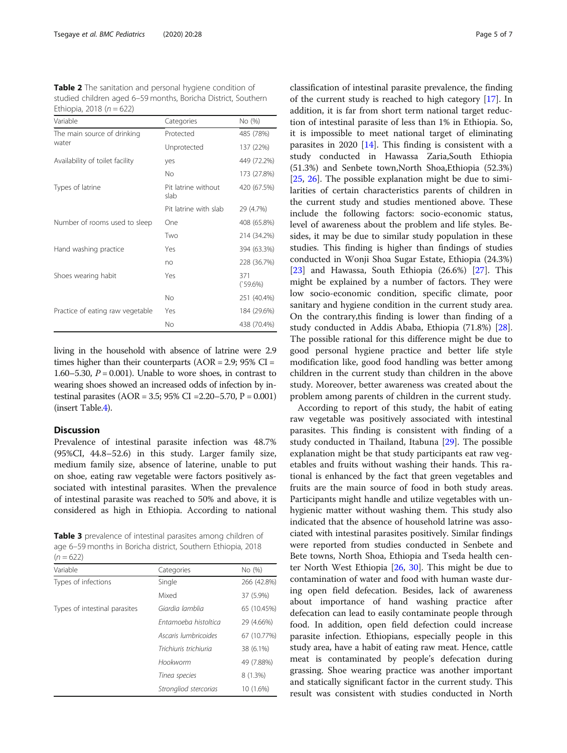<span id="page-4-0"></span>Table 2 The sanitation and personal hygiene condition of studied children aged 6–59 months, Boricha District, Southern Ethiopia, 2018 ( $n = 622$ )

| Variable                         | Categories                  | No (%)            |
|----------------------------------|-----------------------------|-------------------|
| The main source of drinking      | Protected                   | 485 (78%)         |
| water                            | Unprotected                 | 137 (22%)         |
| Availability of toilet facility  | yes                         | 449 (72.2%)       |
|                                  | No                          | 173 (27.8%)       |
| Types of latrine                 | Pit latrine without<br>slab | 420 (67.5%)       |
|                                  | Pit latrine with slab       | 29 (4.7%)         |
| Number of rooms used to sleep    | One                         | 408 (65.8%)       |
|                                  | Two                         | 214 (34.2%)       |
| Hand washing practice            | Yes                         | 394 (63.3%)       |
|                                  | no                          | 228 (36.7%)       |
| Shoes wearing habit              | Yes                         | 371<br>$(59.6\%)$ |
|                                  | No.                         | 251 (40.4%)       |
| Practice of eating raw vegetable | Yes                         | 184 (29.6%)       |
|                                  | No                          | 438 (70.4%)       |

living in the household with absence of latrine were 2.9 times higher than their counterparts  $(AOR = 2.9; 95\% \text{ CI} =$ 1.60–5.30,  $P = 0.001$ ). Unable to wore shoes, in contrast to wearing shoes showed an increased odds of infection by intestinal parasites  $(AOR = 3.5; 95\% CI = 2.20 - 5.70, P = 0.001)$ (insert Table[.4\)](#page-5-0).

# **Discussion**

Prevalence of intestinal parasite infection was 48.7% (95%CI, 44.8–52.6) in this study. Larger family size, medium family size, absence of laterine, unable to put on shoe, eating raw vegetable were factors positively associated with intestinal parasites. When the prevalence of intestinal parasite was reached to 50% and above, it is considered as high in Ethiopia. According to national

Table 3 prevalence of intestinal parasites among children of age 6–59 months in Boricha district, Southern Ethiopia, 2018  $(n = 622)$ 

| Variable                      | Categories            | No (%)      |
|-------------------------------|-----------------------|-------------|
| Types of infections           | Single                | 266 (42.8%) |
|                               | Mixed                 | 37 (5.9%)   |
| Types of intestinal parasites | Giardia lamblia       | 65 (10.45%) |
|                               | Entamoeba histoltica  | 29 (4.66%)  |
|                               | Ascaris lumbricoides  | 67 (10.77%) |
|                               | Trichiuris trichiuria | 38 (6.1%)   |
|                               | Hookworm              | 49 (7.88%)  |
|                               | Tinea species         | 8(1.3%)     |
|                               | Strongliod stercorias | 10 (1.6%)   |
|                               |                       |             |

classification of intestinal parasite prevalence, the finding of the current study is reached to high category [\[17](#page-6-0)]. In addition, it is far from short term national target reduction of intestinal parasite of less than 1% in Ethiopia. So, it is impossible to meet national target of eliminating parasites in 2020  $[14]$  $[14]$ . This finding is consistent with a study conducted in Hawassa Zaria,South Ethiopia (51.3%) and Senbete town,North Shoa,Ethiopia (52.3%) [[25,](#page-6-0) [26](#page-6-0)]. The possible explanation might be due to similarities of certain characteristics parents of children in the current study and studies mentioned above. These include the following factors: socio-economic status, level of awareness about the problem and life styles. Besides, it may be due to similar study population in these studies. This finding is higher than findings of studies conducted in Wonji Shoa Sugar Estate, Ethiopia (24.3%) [[23\]](#page-6-0) and Hawassa, South Ethiopia (26.6%) [\[27](#page-6-0)]. This might be explained by a number of factors. They were low socio-economic condition, specific climate, poor sanitary and hygiene condition in the current study area. On the contrary,this finding is lower than finding of a study conducted in Addis Ababa, Ethiopia (71.8%) [\[28](#page-6-0)]. The possible rational for this difference might be due to good personal hygiene practice and better life style modification like, good food handling was better among children in the current study than children in the above study. Moreover, better awareness was created about the problem among parents of children in the current study.

According to report of this study, the habit of eating raw vegetable was positively associated with intestinal parasites. This finding is consistent with finding of a study conducted in Thailand, Itabuna [[29](#page-6-0)]. The possible explanation might be that study participants eat raw vegetables and fruits without washing their hands. This rational is enhanced by the fact that green vegetables and fruits are the main source of food in both study areas. Participants might handle and utilize vegetables with unhygienic matter without washing them. This study also indicated that the absence of household latrine was associated with intestinal parasites positively. Similar findings were reported from studies conducted in Senbete and Bete towns, North Shoa, Ethiopia and Tseda health center North West Ethiopia [\[26,](#page-6-0) [30\]](#page-6-0). This might be due to contamination of water and food with human waste during open field defecation. Besides, lack of awareness about importance of hand washing practice after defecation can lead to easily contaminate people through food. In addition, open field defection could increase parasite infection. Ethiopians, especially people in this study area, have a habit of eating raw meat. Hence, cattle meat is contaminated by people's defecation during grassing. Shoe wearing practice was another important and statically significant factor in the current study. This result was consistent with studies conducted in North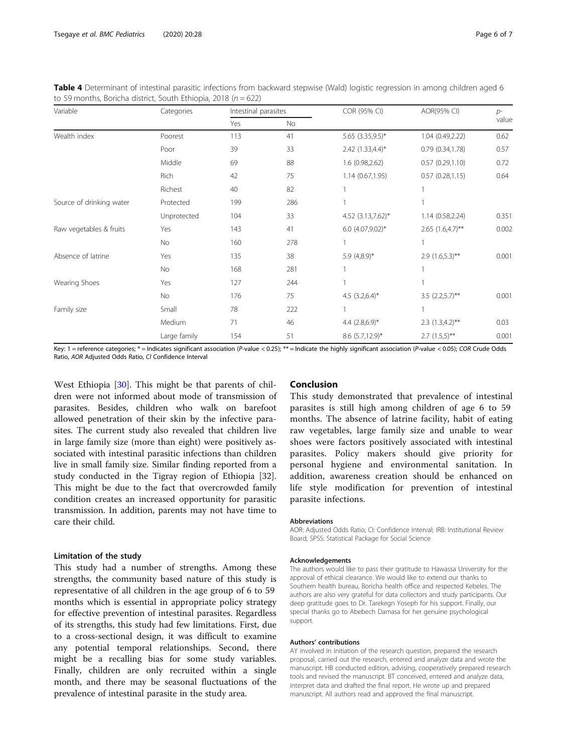<span id="page-5-0"></span>

| Table 4 Determinant of intestinal parasitic infections from backward stepwise (Wald) logistic regression in among children aged 6 |  |  |
|-----------------------------------------------------------------------------------------------------------------------------------|--|--|
| to 59 months, Boricha district, South Ethiopia, 2018 ( $n = 622$ )                                                                |  |  |

| Variable                 | Categories   | Intestinal parasites |     | COR (95% CI)          | AOR(95% CI)           | $p-$  |
|--------------------------|--------------|----------------------|-----|-----------------------|-----------------------|-------|
|                          |              | Yes                  | No  |                       |                       | value |
| Wealth index             | Poorest      | 113                  | 41  | $5.65$ $(3.35,9.5)^*$ | 1.04 (0.49,2.22)      | 0.62  |
|                          | Poor         | 39                   | 33  | $2.42$ (1.33,4.4)*    | 0.79(0.34, 1.78)      | 0.57  |
|                          | Middle       | 69                   | 88  | 1.6(0.98, 2.62)       | 0.57(0.29,1.10)       | 0.72  |
|                          | Rich         | 42                   | 75  | 1.14(0.67, 1.95)      | 0.57(0.28, 1.15)      | 0.64  |
|                          | Richest      | 40                   | 82  |                       |                       |       |
| Source of drinking water | Protected    | 199                  | 286 |                       |                       |       |
|                          | Unprotected  | 104                  | 33  | 4.52 $(3.13,7.62)^*$  | 1.14 (0.58,2.24)      | 0.351 |
| Raw vegetables & fruits  | Yes          | 143                  | 41  | 6.0 $(4.07,9.02)^*$   | $2.65$ $(1.6,4.7)$ ** | 0.002 |
|                          | No           | 160                  | 278 |                       |                       |       |
| Absence of latrine       | Yes          | 135                  | 38  | 5.9 $(4,8.9)$ *       | $2.9(1.6,5.3)$ **     | 0.001 |
|                          | No           | 168                  | 281 |                       |                       |       |
| Wearing Shoes            | Yes          | 127                  | 244 |                       |                       |       |
|                          | <b>No</b>    | 176                  | 75  | 4.5 $(3.2,6.4)^*$     | $3.5$ (2.2,5.7)**     | 0.001 |
| Family size              | Small        | 78                   | 222 |                       |                       |       |
|                          | Medium       | 71                   | 46  | 4.4 $(2.8,6.9)$ *     | $2.3(1.3,4.2)$ **     | 0.03  |
|                          | Large family | 154                  | 51  | $8.6$ (5.7,12.9)*     | $2.7(1.5.5)$ **       | 0.001 |

Key: 1 = reference categories; \* = Indicates significant association (P-value < 0.25); \*\* = Indicate the highly significant association (P-value < 0.05); COR Crude Odds Ratio, AOR Adjusted Odds Ratio, CI Confidence Interval

West Ethiopia [\[30\]](#page-6-0). This might be that parents of children were not informed about mode of transmission of parasites. Besides, children who walk on barefoot allowed penetration of their skin by the infective parasites. The current study also revealed that children live in large family size (more than eight) were positively associated with intestinal parasitic infections than children live in small family size. Similar finding reported from a study conducted in the Tigray region of Ethiopia [32]. This might be due to the fact that overcrowded family condition creates an increased opportunity for parasitic transmission. In addition, parents may not have time to care their child.

#### Limitation of the study

This study had a number of strengths. Among these strengths, the community based nature of this study is representative of all children in the age group of 6 to 59 months which is essential in appropriate policy strategy for effective prevention of intestinal parasites. Regardless of its strengths, this study had few limitations. First, due to a cross-sectional design, it was difficult to examine any potential temporal relationships. Second, there might be a recalling bias for some study variables. Finally, children are only recruited within a single month, and there may be seasonal fluctuations of the prevalence of intestinal parasite in the study area.

# Conclusion

This study demonstrated that prevalence of intestinal parasites is still high among children of age 6 to 59 months. The absence of latrine facility, habit of eating raw vegetables, large family size and unable to wear shoes were factors positively associated with intestinal parasites. Policy makers should give priority for personal hygiene and environmental sanitation. In addition, awareness creation should be enhanced on life style modification for prevention of intestinal parasite infections.

#### Abbreviations

AOR: Adjusted Odds Ratio; CI: Confidence Interval; IRB: Institutional Review Board; SPSS: Statistical Package for Social Science

#### Acknowledgements

The authors would like to pass their gratitude to Hawassa University for the approval of ethical clearance. We would like to extend our thanks to Southern health bureau, Boricha health office and respected Kebeles. The authors are also very grateful for data collectors and study participants. Our deep gratitude goes to Dr. Tarekegn Yoseph for his support. Finally, our special thanks go to Abebech Damasa for her genuine psychological support.

#### Authors' contributions

AY involved in initiation of the research question, prepared the research proposal, carried out the research, entered and analyze data and wrote the manuscript. HB conducted edition, advising, cooperatively prepared research tools and revised the manuscript. BT conceived, entered and analyze data, interpret data and drafted the final report. He wrote up and prepared manuscript. All authors read and approved the final manuscript.